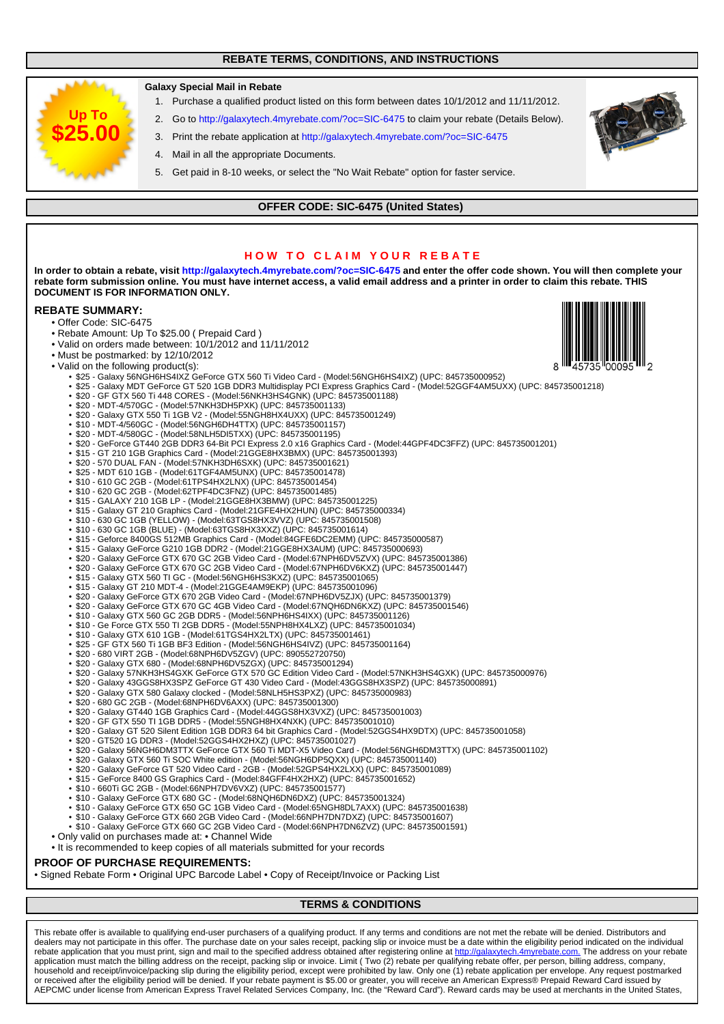## **REBATE TERMS, CONDITIONS, AND INSTRUCTIONS**



This rebate offer is available to qualifying end-user purchasers of a qualifying product. If any terms and conditions are not met the rebate will be denied. Distributors and<br>dealers may not participate in this offer. The p rebate application that you must print, sign and mail to the specified address obtained after registering online at [http://galaxytech.4myrebate.com.](url() The address on your rebate application must match the billing address on the receipt, packing slip or invoice. Limit ( Two (2) rebate per qualifying rebate offer, per person, billing address, company, household and receipt/invoice/packing slip during the eligibility period, except were prohibited by law. Only one (1) rebate application per envelope. Any request postmarked<br>or received after the eligibility period will be AEPCMC under license from American Express Travel Related Services Company, Inc. (the "Reward Card"). Reward cards may be used at merchants in the United States,